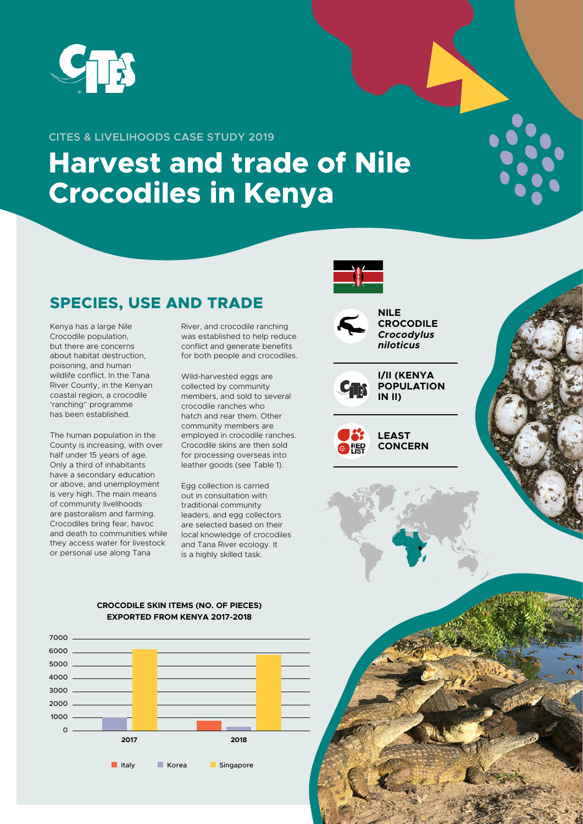

#### **CITES & LIVELIHOODS CASE STUDY 2019**

# **Harvest and trade of Nile Crocodiles in Kenya**

## **SPECIES, USE AND TRADE**

Kenya has a large Nile Crocodile population, but there are concerns about habitat destruction, poisoning, and human wildlife conflict. In the Tana River County, in the Kenyan coastal region, a crocodile 'ranching" programme has been established.

The human population in the County is increasing, with over half under 15 years of age. Only a third of inhabitants have a secondary education or above, and unemployment is very high. The main means of community livelihoods are pastoralism and farming. Crocodiles bring fear, havoc and death to communities while they access water for livestock or personal use along Tana

River, and crocodile ranching was established to help reduce conflict and generate benefits for both people and crocodiles.

Wild-harvested eggs are collected by community members, and sold to several crocodile ranches who hatch and rear them. Other community members are employed in crocodile ranches. Crocodile skins are then sold for processing overseas into leather goods (see Table 1).

Egg collection is carried out in consultation with traditional community leaders, and egg collectors are selected based on their local knowledge of crocodiles and Tana River ecology. It is a highly skilled task.





**NILE CROCODILE** *Crocodylus niloticus*



**I/II (KENYA POPULATION IN II)**



**LEAST CONCERN**

#### **CROCODILE SKIN ITEMS (NO. OF PIECES) EXPORTED FROM KENYA 2017-2018**